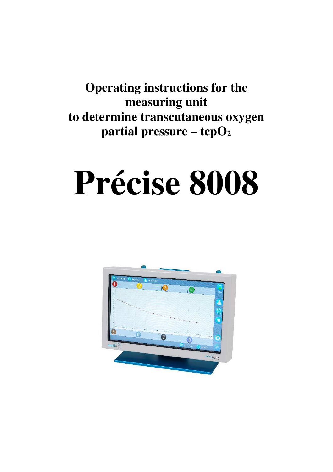**Operating instructions for the measuring unit to determine transcutaneous oxygen partial pressure – tcpO<sup>2</sup>**

# **Précise 8008**

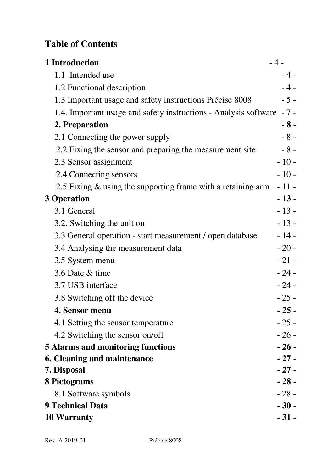# **Table of Contents**

| 1 Introduction                                                   | $-4-$  |
|------------------------------------------------------------------|--------|
| 1.1 Intended use                                                 | $-4-$  |
| 1.2 Functional description                                       | $-4-$  |
| 1.3 Important usage and safety instructions Précise 8008         | $-5-$  |
| 1.4. Important usage and safety instructions - Analysis software | $-7-$  |
| 2. Preparation                                                   | $-8-$  |
| 2.1 Connecting the power supply                                  | $-8-$  |
| 2.2 Fixing the sensor and preparing the measurement site         | $-8-$  |
| 2.3 Sensor assignment                                            | $-10-$ |
| 2.4 Connecting sensors                                           | $-10-$ |
| 2.5 Fixing & using the supporting frame with a retaining arm     | $-11-$ |
| 3 Operation                                                      | $-13-$ |
| 3.1 General                                                      | $-13-$ |
| 3.2. Switching the unit on                                       | $-13-$ |
| 3.3 General operation - start measurement / open database        | $-14-$ |
| 3.4 Analysing the measurement data                               | $-20-$ |
| 3.5 System menu                                                  | $-21-$ |
| 3.6 Date & time                                                  | $-24-$ |
| 3.7 USB interface                                                | $-24-$ |
| 3.8 Switching off the device                                     | $-25-$ |
| 4. Sensor menu                                                   | $-25-$ |
| 4.1 Setting the sensor temperature                               | $-25-$ |
| 4.2 Switching the sensor on/off                                  | $-26-$ |
| 5 Alarms and monitoring functions                                | $-26-$ |
| 6. Cleaning and maintenance                                      | $-27-$ |
| 7. Disposal                                                      | $-27-$ |
| 8 Pictograms                                                     | $-28-$ |
| 8.1 Software symbols                                             | $-28-$ |
| 9 Technical Data                                                 | $-30-$ |
| 10 Warranty                                                      | $-31-$ |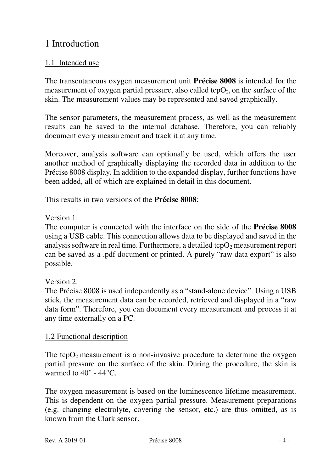# 1 Introduction

## 1.1 Intended use

The transcutaneous oxygen measurement unit **Précise 8008** is intended for the measurement of oxygen partial pressure, also called  $\text{topO}_2$ , on the surface of the skin. The measurement values may be represented and saved graphically.

The sensor parameters, the measurement process, as well as the measurement results can be saved to the internal database. Therefore, you can reliably document every measurement and track it at any time.

Moreover, analysis software can optionally be used, which offers the user another method of graphically displaying the recorded data in addition to the Précise 8008 display. In addition to the expanded display, further functions have been added, all of which are explained in detail in this document.

This results in two versions of the **Précise 8008**:

Version 1:

The computer is connected with the interface on the side of the **Précise 8008** using a USB cable. This connection allows data to be displayed and saved in the analysis software in real time. Furthermore, a detailed  $\text{topO}_2$  measurement report can be saved as a .pdf document or printed. A purely "raw data export" is also possible.

Version 2:

The Précise 8008 is used independently as a "stand-alone device". Using a USB stick, the measurement data can be recorded, retrieved and displayed in a "raw data form". Therefore, you can document every measurement and process it at any time externally on a PC.

## 1.2 Functional description

The tcp $O_2$  measurement is a non-invasive procedure to determine the oxygen partial pressure on the surface of the skin. During the procedure, the skin is warmed to  $40^{\circ}$  -  $44^{\circ}$ C.

The oxygen measurement is based on the luminescence lifetime measurement. This is dependent on the oxygen partial pressure. Measurement preparations (e.g. changing electrolyte, covering the sensor, etc.) are thus omitted, as is known from the Clark sensor.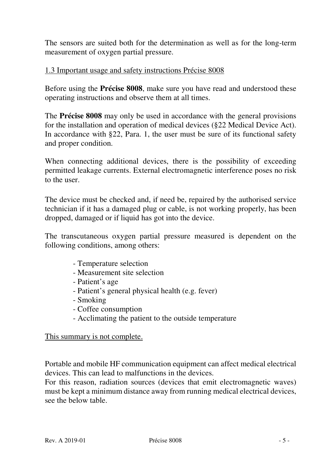The sensors are suited both for the determination as well as for the long-term measurement of oxygen partial pressure.

## 1.3 Important usage and safety instructions Précise 8008

Before using the **Précise 8008**, make sure you have read and understood these operating instructions and observe them at all times.

The **Précise 8008** may only be used in accordance with the general provisions for the installation and operation of medical devices (§22 Medical Device Act). In accordance with §22, Para. 1, the user must be sure of its functional safety and proper condition.

When connecting additional devices, there is the possibility of exceeding permitted leakage currents. External electromagnetic interference poses no risk to the user.

The device must be checked and, if need be, repaired by the authorised service technician if it has a damaged plug or cable, is not working properly, has been dropped, damaged or if liquid has got into the device.

The transcutaneous oxygen partial pressure measured is dependent on the following conditions, among others:

- Temperature selection
- Measurement site selection
- Patient's age
- Patient's general physical health (e.g. fever)
- Smoking
- Coffee consumption
- Acclimating the patient to the outside temperature

#### This summary is not complete.

Portable and mobile HF communication equipment can affect medical electrical devices. This can lead to malfunctions in the devices.

For this reason, radiation sources (devices that emit electromagnetic waves) must be kept a minimum distance away from running medical electrical devices, see the below table.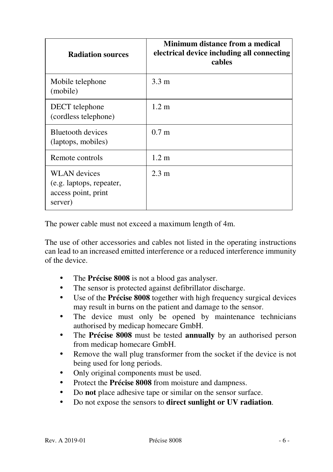| <b>Radiation sources</b>                                                          | Minimum distance from a medical<br>electrical device including all connecting<br>cables |
|-----------------------------------------------------------------------------------|-----------------------------------------------------------------------------------------|
| Mobile telephone<br>(mobile)                                                      | $3.3 \text{ m}$                                                                         |
| DECT telephone<br>(cordless telephone)                                            | $1.2 \text{ m}$                                                                         |
| Bluetooth devices<br>(laptops, mobiles)                                           | 0.7 <sub>m</sub>                                                                        |
| Remote controls                                                                   | $1.2 \text{ m}$                                                                         |
| <b>WLAN</b> devices<br>(e.g. laptops, repeater,<br>access point, print<br>server) | $2.3 \text{ m}$                                                                         |

The power cable must not exceed a maximum length of 4m.

The use of other accessories and cables not listed in the operating instructions can lead to an increased emitted interference or a reduced interference immunity of the device.

- The **Précise 8008** is not a blood gas analyser.
- The sensor is protected against defibrillator discharge.
- Use of the **Précise 8008** together with high frequency surgical devices may result in burns on the patient and damage to the sensor.
- The device must only be opened by maintenance technicians authorised by medicap homecare GmbH.
- The **Précise 8008** must be tested **annually** by an authorised person from medicap homecare GmbH.
- Remove the wall plug transformer from the socket if the device is not being used for long periods.
- Only original components must be used.
- Protect the **Précise 8008** from moisture and dampness.
- Do **not** place adhesive tape or similar on the sensor surface.
- Do not expose the sensors to **direct sunlight or UV radiation**.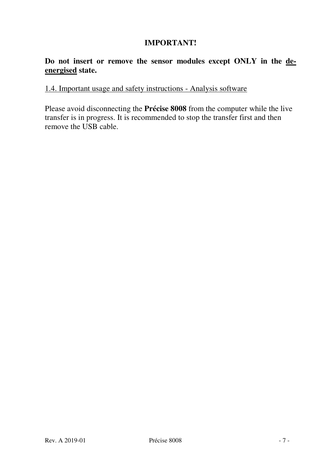## **IMPORTANT!**

## **Do not insert or remove the sensor modules except ONLY in the deenergised state.**

## 1.4. Important usage and safety instructions - Analysis software

Please avoid disconnecting the **Précise 8008** from the computer while the live transfer is in progress. It is recommended to stop the transfer first and then remove the USB cable.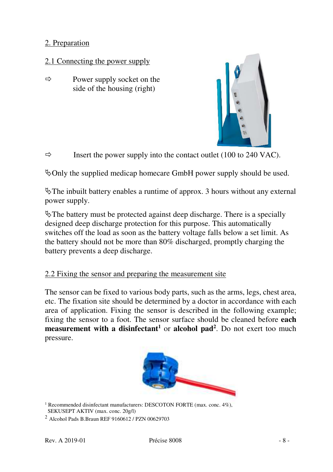#### 2. Preparation

## 2.1 Connecting the power supply

 $\Rightarrow$  Power supply socket on the side of the housing (right)



 $\Rightarrow$  Insert the power supply into the contact outlet (100 to 240 VAC).

 $\&$  Only the supplied medicap homecare GmbH power supply should be used.

 $\mathcal{L}$ The inbuilt battery enables a runtime of approx. 3 hours without any external power supply.

 $\mathcal{L}$ The battery must be protected against deep discharge. There is a specially designed deep discharge protection for this purpose. This automatically switches off the load as soon as the battery voltage falls below a set limit. As the battery should not be more than 80% discharged, promptly charging the battery prevents a deep discharge.

#### 2.2 Fixing the sensor and preparing the measurement site

The sensor can be fixed to various body parts, such as the arms, legs, chest area, etc. The fixation site should be determined by a doctor in accordance with each area of application. Fixing the sensor is described in the following example; fixing the sensor to a foot. The sensor surface should be cleaned before **each measurement with a disinfectant<sup>1</sup>** or **alcohol pad<sup>2</sup>.** Do not exert too much pressure.



<sup>1</sup> Recommended disinfectant manufacturers: DESCOTON FORTE (max. conc. 4%), SEKUSEPT AKTIV (max. conc. 20g/l)

<sup>2</sup> Alcohol Pads B.Braun REF 9160612 / PZN 00629703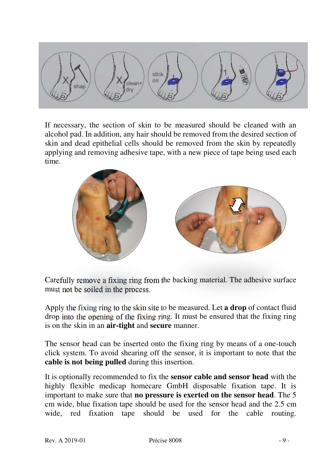

If necessary, the section of skin to be measured should be cleaned with an alcohol pad. In addition, any hair should be removed from the desired section of skin and dead epithelial cells should be removed from the skin by repeatedly applying and removing adhesive tape, with a new piece of tape being used each time.



Carefully remove a fixing ring from the backing material. The adhesive surface must not be soiled in the process.

Apply the fixing ring to the skin site to be measured. Let **a drop** of contact fluid drop into the opening of the fixing ring. It must be ensured that the fixing ring is on the skin in an **air-tight** and **secure** manner.

The sensor head can be inserted onto the fixing ring by means of a one-touch click system. To avoid shearing off the sensor, it is important to note that the **cable is not being pulled** during this insertion.

It is optionally recommended to fix the **sensor cable and sensor head** with the highly flexible medicap homecare GmbH disposable fixation tape. It is important to make sure that **no pressure is exerted on the sensor head**. The 5 cm wide, blue fixation tape should be used for the sensor head and the 2.5 cm wide, red fixation tape should be used for the cable routing.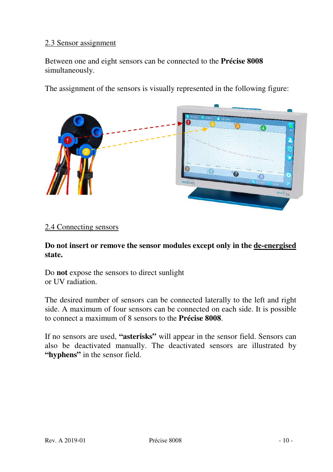#### 2.3 Sensor assignment

Between one and eight sensors can be connected to the **Précise 8008** simultaneously.

The assignment of the sensors is visually represented in the following figure:



#### 2.4 Connecting sensors

**Do not insert or remove the sensor modules except only in the de-energised state.** 

Do **not** expose the sensors to direct sunlight or UV radiation.

The desired number of sensors can be connected laterally to the left and right side. A maximum of four sensors can be connected on each side. It is possible to connect a maximum of 8 sensors to the **Précise 8008**.

If no sensors are used, **"asterisks"** will appear in the sensor field. Sensors can also be deactivated manually. The deactivated sensors are illustrated by **"hyphens"** in the sensor field.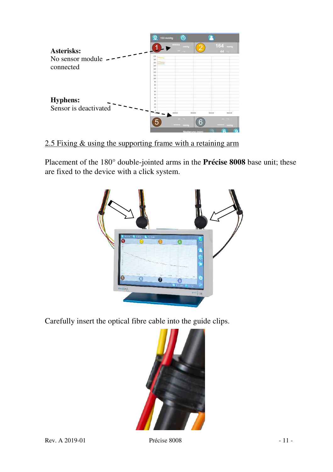

2.5 Fixing & using the supporting frame with a retaining arm

Placement of the 180° double-jointed arms in the **Précise 8008** base unit; these are fixed to the device with a click system.



Carefully insert the optical fibre cable into the guide clips.

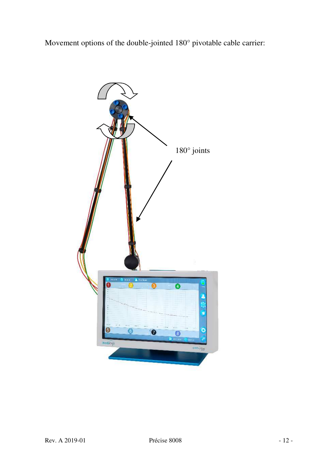Movement options of the double-jointed 180° pivotable cable carrier:

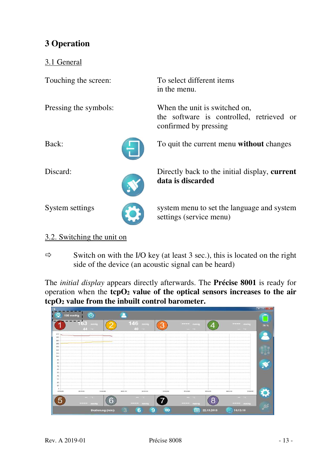# **3 Operation**

## 3.1 General

Touching the screen: To select different items

Pressing the symbols: When the unit is switched on,



Back: To quit the current menu **without** changes

the software is controlled, retrieved or



Discard: Directly back to the initial display, **current data is discarded**



System settings system menu to set the language and system settings (service menu)

## 3.2. Switching the unit on

 $\Rightarrow$  Switch on with the I/O key (at least 3 sec.), this is located on the right side of the device (an acoustic signal can be heard)

in the menu.

confirmed by pressing

The *initial display* appears directly afterwards. The **Précise 8001** is ready for operation when the **tcpO2 value of the optical sensors increases to the air tcpO2 value from the inbuilt control barometer.** 

|       | 155<br>mmHg |        | 146              |         | mm <sup>H</sup> s |        |                  | mmH <sub>2</sub> |
|-------|-------------|--------|------------------|---------|-------------------|--------|------------------|------------------|
|       | 44.1        |        | 40               |         | $-10$             |        | $-14$            |                  |
|       |             |        |                  |         |                   |        |                  |                  |
|       |             |        |                  |         |                   |        |                  |                  |
|       |             |        |                  |         |                   |        |                  |                  |
|       |             |        |                  |         |                   |        |                  |                  |
|       |             |        |                  |         |                   |        |                  |                  |
|       |             |        |                  |         |                   |        |                  |                  |
|       |             |        |                  |         |                   |        |                  |                  |
|       |             |        |                  |         |                   |        |                  |                  |
|       |             |        |                  |         |                   |        |                  |                  |
|       |             |        |                  |         |                   |        |                  |                  |
|       |             |        |                  |         |                   |        |                  |                  |
| menco | 000000      | 020243 | coston<br>000300 | conting | 000200            | codess | 0002140          | 010100           |
|       | $-100$      |        | $-100$           |         | $-10$             | o      | $-16$            |                  |
|       | TTTT: MMHg  | G      | <b>BMILLED</b>   |         | mmHg<br>---       | ۰      | $- - - -$ multip |                  |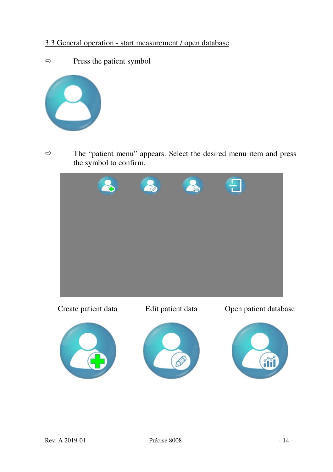# 3.3 General operation - start measurement / open database

 $\Rightarrow$  Press the patient symbol



 $\Rightarrow$  The "patient menu" appears. Select the desired menu item and press the symbol to confirm.

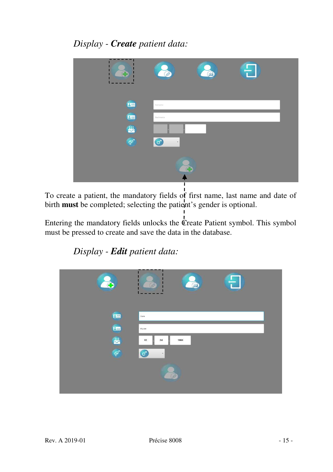# *Display - Create patient data:*



To create a patient, the mandatory fields of first name, last name and date of birth **must** be completed; selecting the patient's gender is optional.

Entering the mandatory fields unlocks the Create Patient symbol. This symbol must be pressed to create and save the data in the database.

*Display - Edit patient data:* 

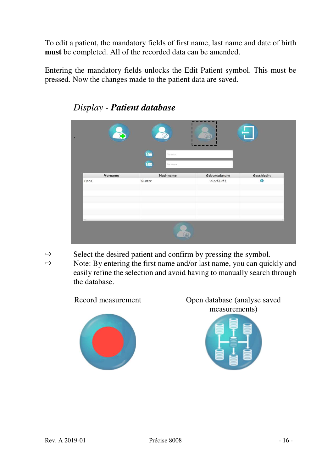To edit a patient, the mandatory fields of first name, last name and date of birth **must** be completed. All of the recorded data can be amended.

Entering the mandatory fields unlocks the Edit Patient symbol. This must be pressed. Now the changes made to the patient data are saved.

| Œ       |                                   | (益)          |            |
|---------|-----------------------------------|--------------|------------|
|         | E<br>Vername.                     |              |            |
| Vorname | <b>Bm</b><br>Nachhame<br>Nachname | Geburtsdatum | Geschlecht |
| Hans    | Muster                            | 02.04.1984   | a          |
|         |                                   |              |            |
|         |                                   |              | -19        |
|         | Gill,                             |              |            |

*Display - Patient database*

 $\Rightarrow$  Select the desired patient and confirm by pressing the symbol.

 $\Rightarrow$  Note: By entering the first name and/or last name, you can quickly and easily refine the selection and avoid having to manually search through the database.





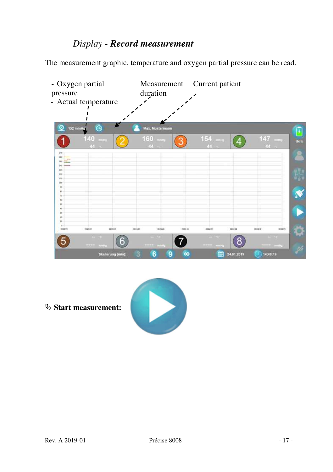# *Display - Record measurement*

The measurement graphic, temperature and oxygen partial pressure can be read.



**Start measurement:** 

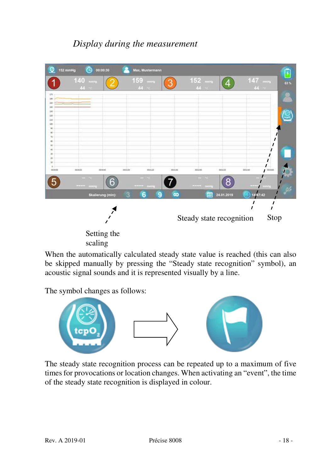# *Display during the measurement*



When the automatically calculated steady state value is reached (this can also be skipped manually by pressing the "Steady state recognition" symbol), an acoustic signal sounds and it is represented visually by a line.

The symbol changes as follows:



The steady state recognition process can be repeated up to a maximum of five times for provocations or location changes. When activating an "event", the time of the steady state recognition is displayed in colour.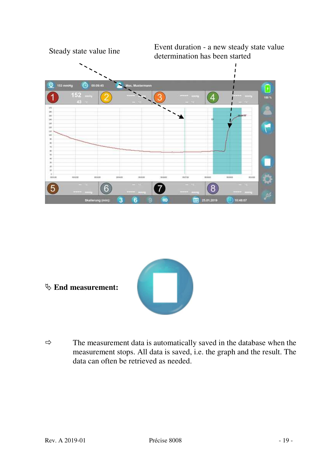



- **End measurement:**
- $\Rightarrow$  The measurement data is automatically saved in the database when the measurement stops. All data is saved, i.e. the graph and the result. The data can often be retrieved as needed.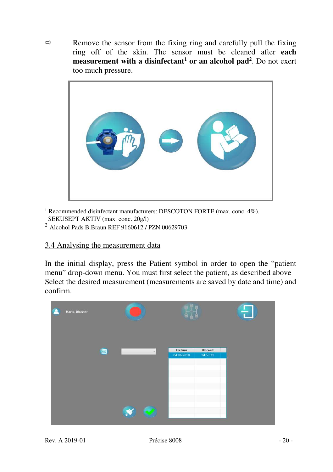$\Rightarrow$  Remove the sensor from the fixing ring and carefully pull the fixing ring off of the skin. The sensor must be cleaned after **each measurement with a disinfectant<sup>1</sup> or an alcohol pad<sup>2</sup>. Do not exert** too much pressure.



<sup>1</sup> Recommended disinfectant manufacturers: DESCOTON FORTE (max. conc. 4%), SEKUSEPT AKTIV (max. conc. 20g/l)

<sup>2</sup> Alcohol Pads B.Braun REF 9160612 / PZN 00629703

## 3.4 Analysing the measurement data

In the initial display, press the Patient symbol in order to open the "patient menu" drop-down menu. You must first select the patient, as described above Select the desired measurement (measurements are saved by date and time) and confirm.

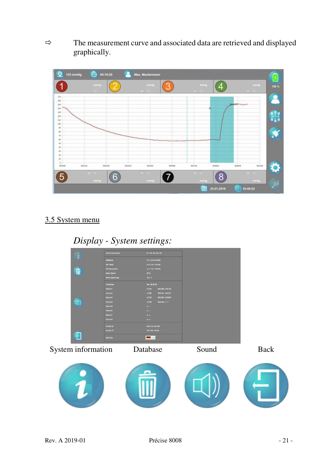$\Rightarrow$  The measurement curve and associated data are retrieved and displayed graphically.



# 3.5 System menu

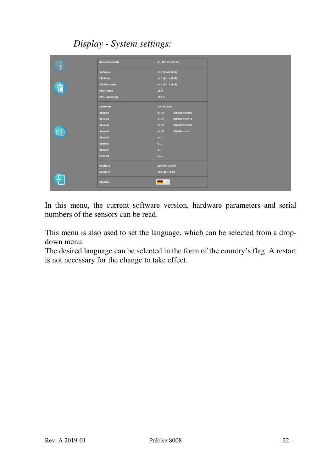# *Display - System settings:*



In this menu, the current software version, hardware parameters and serial numbers of the sensors can be read.

This menu is also used to set the language, which can be selected from a dropdown menu.

The desired language can be selected in the form of the country's flag. A restart is not necessary for the change to take effect.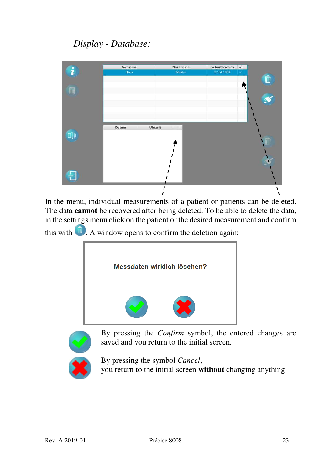# *Display - Database:*



In the menu, individual measurements of a patient or patients can be deleted. The data **cannot** be recovered after being deleted. To be able to delete the data, in the settings menu click on the patient or the desired measurement and confirm

this with  $\blacksquare$ . A window opens to confirm the deletion again:



By pressing the *Confirm* symbol, the entered changes are saved and you return to the initial screen.



By pressing the symbol *Cancel*, you return to the initial screen **without** changing anything.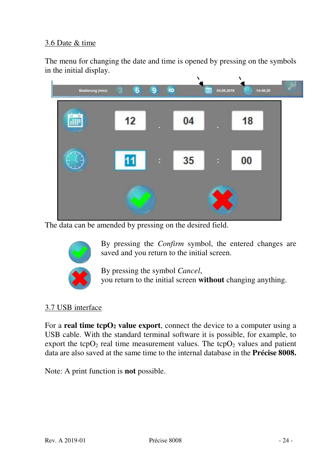## 3.6 Date & time

The menu for changing the date and time is opened by pressing on the symbols in the initial display.



The data can be amended by pressing on the desired field.



By pressing the *Confirm* symbol, the entered changes are saved and you return to the initial screen.

By pressing the symbol *Cancel*, you return to the initial screen **without** changing anything.

#### 3.7 USB interface

For a **real time tcpO2 value export**, connect the device to a computer using a USB cable. With the standard terminal software it is possible, for example, to export the tcp $O_2$  real time measurement values. The tcp $O_2$  values and patient data are also saved at the same time to the internal database in the **Précise 8008.**

Note: A print function is **not** possible.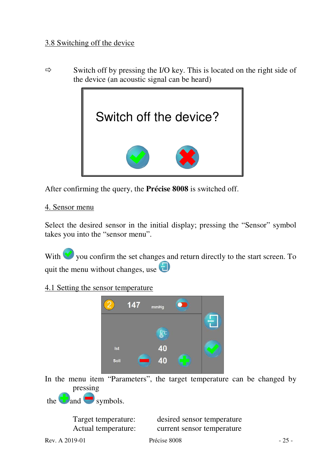$\Rightarrow$  Switch off by pressing the I/O key. This is located on the right side of the device (an acoustic signal can be heard)



After confirming the query, the **Précise 8008** is switched off.

#### 4. Sensor menu

Select the desired sensor in the initial display; pressing the "Sensor" symbol takes you into the "sensor menu".

With you confirm the set changes and return directly to the start screen. To quit the menu without changes, use

## 4.1 Setting the sensor temperature



In the menu item "Parameters", the target temperature can be changed by pressing

the  $\Box$  and  $\Box$  symbols.

 Target temperature: desired sensor temperature Actual temperature: current sensor temperature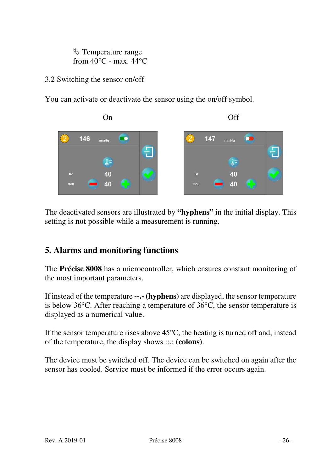$\lozenge$  Temperature range from  $40^{\circ}$ C - max.  $44^{\circ}$ C

## 3.2 Switching the sensor on/off

You can activate or deactivate the sensor using the on/off symbol.



The deactivated sensors are illustrated by **"hyphens"** in the initial display. This setting is **not** possible while a measurement is running.

# **5. Alarms and monitoring functions**

The **Précise 8008** has a microcontroller, which ensures constant monitoring of the most important parameters.

If instead of the temperature **--.- (hyphens)** are displayed, the sensor temperature is below 36°C. After reaching a temperature of 36°C, the sensor temperature is displayed as a numerical value.

If the sensor temperature rises above  $45^{\circ}$ C, the heating is turned off and, instead of the temperature, the display shows ::,: **(colons)**.

The device must be switched off. The device can be switched on again after the sensor has cooled. Service must be informed if the error occurs again.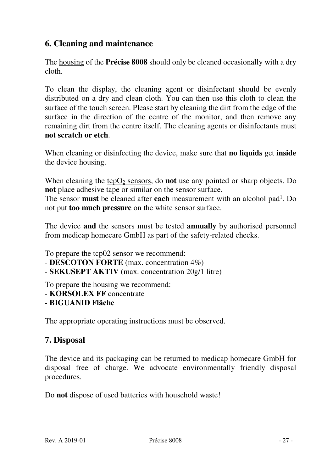# **6. Cleaning and maintenance**

The housing of the **Précise 8008** should only be cleaned occasionally with a dry cloth.

To clean the display, the cleaning agent or disinfectant should be evenly distributed on a dry and clean cloth. You can then use this cloth to clean the surface of the touch screen. Please start by cleaning the dirt from the edge of the surface in the direction of the centre of the monitor, and then remove any remaining dirt from the centre itself. The cleaning agents or disinfectants must **not scratch or etch**.

When cleaning or disinfecting the device, make sure that **no liquids** get **inside** the device housing.

When cleaning the tcpO<sub>2</sub> sensors, do **not** use any pointed or sharp objects. Do **not** place adhesive tape or similar on the sensor surface.

The sensor **must** be cleaned after **each** measurement with an alcohol pad<sup>1</sup>. Do not put **too much pressure** on the white sensor surface.

The device **and** the sensors must be tested **annually** by authorised personnel from medicap homecare GmbH as part of the safety-related checks.

To prepare the tcp02 sensor we recommend:

- **DESCOTON FORTE** (max. concentration 4%)
- **SEKUSEPT AKTIV** (max. concentration 20g/1 litre)

To prepare the housing we recommend:

- **KORSOLEX FF** concentrate
- **BIGUANID Fläche**

The appropriate operating instructions must be observed.

## **7. Disposal**

The device and its packaging can be returned to medicap homecare GmbH for disposal free of charge. We advocate environmentally friendly disposal procedures.

Do **not** dispose of used batteries with household waste!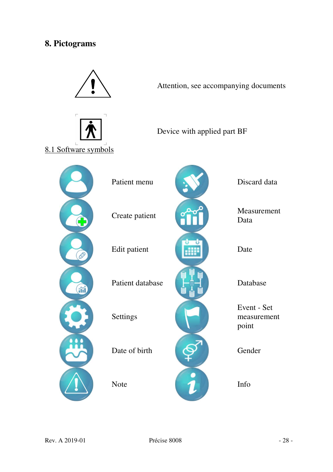# **8. Pictograms**

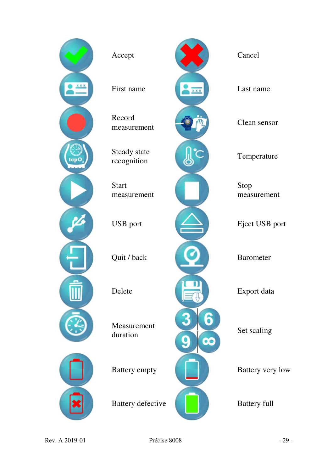

Record

Steady state

**Start** measurement

Measurement



Stop measurement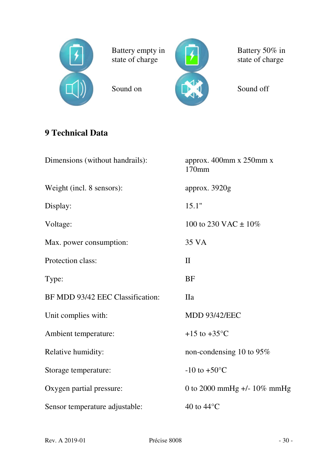

Battery empty in state of charge



Battery 50% in state of charge

# **9 Technical Data**

| Dimensions (without handrails):  | approx. 400mm x 250mm x<br>170 <sub>mm</sub> |
|----------------------------------|----------------------------------------------|
| Weight (incl. 8 sensors):        | approx. 3920g                                |
| Display:                         | 15.1"                                        |
| Voltage:                         | 100 to 230 VAC $\pm$ 10%                     |
| Max. power consumption:          | 35 VA                                        |
| Protection class:                | $\mathbf{I}$                                 |
| Type:                            | BF                                           |
| BF MDD 93/42 EEC Classification: | <b>IIa</b>                                   |
| Unit complies with:              | <b>MDD 93/42/EEC</b>                         |
| Ambient temperature:             | $+15$ to $+35^{\circ}$ C                     |
| Relative humidity:               | non-condensing 10 to 95%                     |
| Storage temperature:             | $-10$ to $+50^{\circ}$ C                     |
| Oxygen partial pressure:         | 0 to 2000 mmHg +/- $10\%$ mmHg               |
| Sensor temperature adjustable:   | 40 to $44^{\circ}$ C                         |